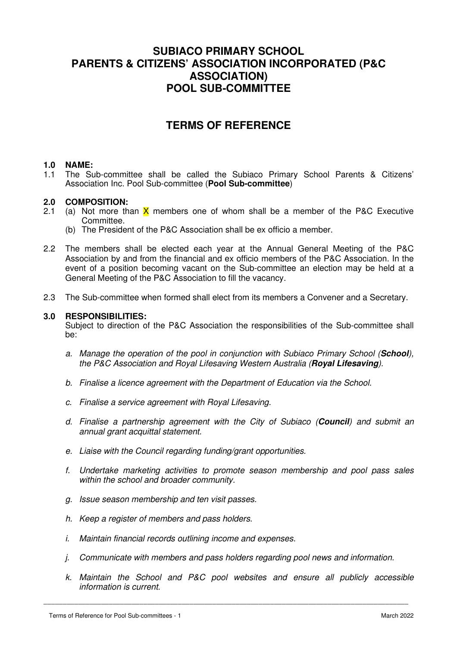## **SUBIACO PRIMARY SCHOOL PARENTS & CITIZENS' ASSOCIATION INCORPORATED (P&C ASSOCIATION) POOL SUB-COMMITTEE**

## **TERMS OF REFERENCE**

#### **1.0 NAME:**

1.1 The Sub-committee shall be called the Subiaco Primary School Parents & Citizens' Association Inc. Pool Sub-committee (**Pool Sub-committee**)

#### **2.0 COMPOSITION:**

- 2.1 (a) Not more than  $\bar{X}$  members one of whom shall be a member of the P&C Executive Committee.
	- (b) The President of the P&C Association shall be ex officio a member.
- 2.2 The members shall be elected each year at the Annual General Meeting of the P&C Association by and from the financial and ex officio members of the P&C Association. In the event of a position becoming vacant on the Sub-committee an election may be held at a General Meeting of the P&C Association to fill the vacancy.
- 2.3 The Sub-committee when formed shall elect from its members a Convener and a Secretary.

#### **3.0 RESPONSIBILITIES:**

 Subject to direction of the P&C Association the responsibilities of the Sub-committee shall be:

- a. Manage the operation of the pool in conjunction with Subiaco Primary School (**School**), the P&C Association and Royal Lifesaving Western Australia (**Royal Lifesaving**).
- b. Finalise a licence agreement with the Department of Education via the School.
- c. Finalise a service agreement with Royal Lifesaving.
- d. Finalise a partnership agreement with the City of Subiaco (**Council**) and submit an annual grant acquittal statement.
- e. Liaise with the Council regarding funding/grant opportunities.
- f. Undertake marketing activities to promote season membership and pool pass sales within the school and broader community.
- g. Issue season membership and ten visit passes.
- h. Keep a register of members and pass holders.
- i. Maintain financial records outlining income and expenses.
- j. Communicate with members and pass holders regarding pool news and information.

\_\_\_\_\_\_\_\_\_\_\_\_\_\_\_\_\_\_\_\_\_\_\_\_\_\_\_\_\_\_\_\_\_\_\_\_\_\_\_\_\_\_\_\_\_\_\_\_\_\_\_\_\_\_\_\_\_\_\_\_\_\_\_\_\_\_\_\_\_\_\_\_\_\_\_\_\_\_\_\_\_\_\_\_\_\_\_\_\_\_\_\_\_\_\_

k. Maintain the School and P&C pool websites and ensure all publicly accessible information is current.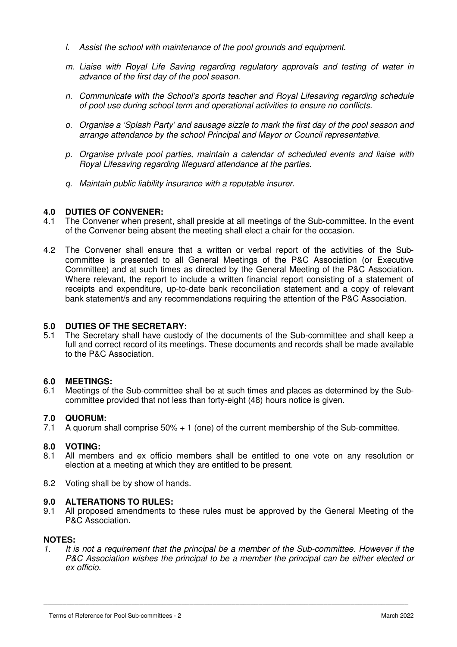- l. Assist the school with maintenance of the pool grounds and equipment.
- m. Liaise with Royal Life Saving regarding regulatory approvals and testing of water in advance of the first day of the pool season.
- n. Communicate with the School's sports teacher and Royal Lifesaving regarding schedule of pool use during school term and operational activities to ensure no conflicts.
- o. Organise a 'Splash Party' and sausage sizzle to mark the first day of the pool season and arrange attendance by the school Principal and Mayor or Council representative.
- p. Organise private pool parties, maintain a calendar of scheduled events and liaise with Royal Lifesaving regarding lifeguard attendance at the parties.
- q. Maintain public liability insurance with a reputable insurer.

#### **4.0 DUTIES OF CONVENER:**

- 4.1 The Convener when present, shall preside at all meetings of the Sub-committee. In the event of the Convener being absent the meeting shall elect a chair for the occasion.
- 4.2 The Convener shall ensure that a written or verbal report of the activities of the Subcommittee is presented to all General Meetings of the P&C Association (or Executive Committee) and at such times as directed by the General Meeting of the P&C Association. Where relevant, the report to include a written financial report consisting of a statement of receipts and expenditure, up-to-date bank reconciliation statement and a copy of relevant bank statement/s and any recommendations requiring the attention of the P&C Association.

# **5.0 DUTIES OF THE SECRETARY:**

The Secretary shall have custody of the documents of the Sub-committee and shall keep a full and correct record of its meetings. These documents and records shall be made available to the P&C Association.

#### **6.0 MEETINGS:**

6.1 Meetings of the Sub-committee shall be at such times and places as determined by the Subcommittee provided that not less than forty-eight (48) hours notice is given.

#### **7.0 QUORUM:**

7.1 A quorum shall comprise 50% + 1 (one) of the current membership of the Sub-committee.

#### **8.0 VOTING:**

- 8.1 All members and ex officio members shall be entitled to one vote on any resolution or election at a meeting at which they are entitled to be present.
- 8.2 Voting shall be by show of hands.

### **9.0 ALTERATIONS TO RULES:**

9.1 All proposed amendments to these rules must be approved by the General Meeting of the P&C Association.

#### **NOTES:**

1. It is not a requirement that the principal be a member of the Sub-committee. However if the P&C Association wishes the principal to be a member the principal can be either elected or ex officio.

\_\_\_\_\_\_\_\_\_\_\_\_\_\_\_\_\_\_\_\_\_\_\_\_\_\_\_\_\_\_\_\_\_\_\_\_\_\_\_\_\_\_\_\_\_\_\_\_\_\_\_\_\_\_\_\_\_\_\_\_\_\_\_\_\_\_\_\_\_\_\_\_\_\_\_\_\_\_\_\_\_\_\_\_\_\_\_\_\_\_\_\_\_\_\_